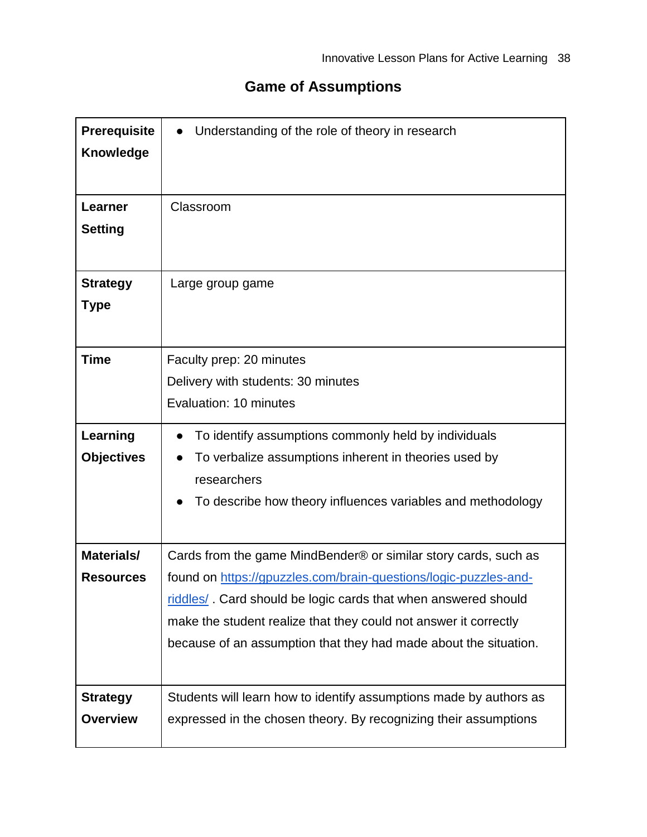## **Game of Assumptions**

| <b>Prerequisite</b><br><b>Knowledge</b> | Understanding of the role of theory in research                                                                                                                                                                                                                                                                                               |
|-----------------------------------------|-----------------------------------------------------------------------------------------------------------------------------------------------------------------------------------------------------------------------------------------------------------------------------------------------------------------------------------------------|
| Learner<br><b>Setting</b>               | Classroom                                                                                                                                                                                                                                                                                                                                     |
| <b>Strategy</b><br><b>Type</b>          | Large group game                                                                                                                                                                                                                                                                                                                              |
| <b>Time</b>                             | Faculty prep: 20 minutes<br>Delivery with students: 30 minutes<br>Evaluation: 10 minutes                                                                                                                                                                                                                                                      |
| Learning<br><b>Objectives</b>           | To identify assumptions commonly held by individuals<br>To verbalize assumptions inherent in theories used by<br>researchers<br>To describe how theory influences variables and methodology                                                                                                                                                   |
| Materials/<br><b>Resources</b>          | Cards from the game MindBender® or similar story cards, such as<br>found on https://gpuzzles.com/brain-questions/logic-puzzles-and-<br>riddles/. Card should be logic cards that when answered should<br>make the student realize that they could not answer it correctly<br>because of an assumption that they had made about the situation. |
| <b>Strategy</b><br><b>Overview</b>      | Students will learn how to identify assumptions made by authors as<br>expressed in the chosen theory. By recognizing their assumptions                                                                                                                                                                                                        |